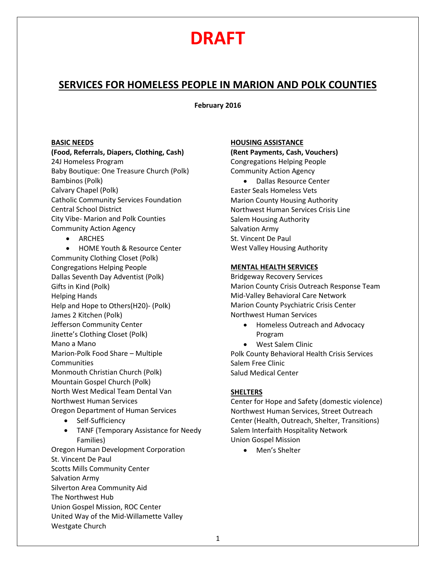## **DRAFT**

### **SERVICES FOR HOMELESS PEOPLE IN MARION AND POLK COUNTIES**

**February 2016**

#### **BASIC NEEDS**

### **(Food, Referrals, Diapers, Clothing, Cash)**  24J Homeless Program

Baby Boutique: One Treasure Church (Polk) Bambinos (Polk) Calvary Chapel (Polk) Catholic Community Services Foundation Central School District City Vibe- Marion and Polk Counties Community Action Agency

• ARCHES

• HOME Youth & Resource Center Community Clothing Closet (Polk) Congregations Helping People Dallas Seventh Day Adventist (Polk) Gifts in Kind (Polk) Helping Hands Help and Hope to Others(H20)- (Polk) James 2 Kitchen (Polk) Jefferson Community Center Jinette's Clothing Closet (Polk) Mano a Mano Marion-Polk Food Share – Multiple **Communities** Monmouth Christian Church (Polk) Mountain Gospel Church (Polk) North West Medical Team Dental Van Northwest Human Services Oregon Department of Human Services

- Self-Sufficiency
- TANF (Temporary Assistance for Needy Families)

Oregon Human Development Corporation St. Vincent De Paul Scotts Mills Community Center Salvation Army Silverton Area Community Aid The Northwest Hub Union Gospel Mission, ROC Center United Way of the Mid-Willamette Valley Westgate Church

#### **HOUSING ASSISTANCE**

**(Rent Payments, Cash, Vouchers)** Congregations Helping People Community Action Agency

• Dallas Resource Center Easter Seals Homeless Vets Marion County Housing Authority Northwest Human Services Crisis Line Salem Housing Authority Salvation Army St. Vincent De Paul West Valley Housing Authority

#### **MENTAL HEALTH SERVICES**

Bridgeway Recovery Services Marion County Crisis Outreach Response Team Mid-Valley Behavioral Care Network Marion County Psychiatric Crisis Center Northwest Human Services

- Homeless Outreach and Advocacy Program
- West Salem Clinic Polk County Behavioral Health Crisis Services Salem Free Clinic Salud Medical Center

#### **SHELTERS**

Center for Hope and Safety (domestic violence) Northwest Human Services, Street Outreach Center (Health, Outreach, Shelter, Transitions) Salem Interfaith Hospitality Network Union Gospel Mission

• Men's Shelter